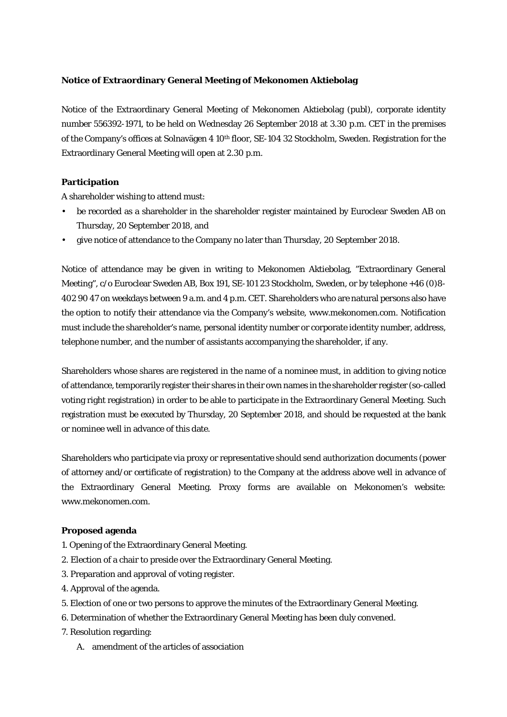### **Notice of Extraordinary General Meeting of Mekonomen Aktiebolag**

Notice of the Extraordinary General Meeting of Mekonomen Aktiebolag (publ), corporate identity number 556392-1971, to be held on Wednesday 26 September 2018 at 3.30 p.m. CET in the premises of the Company's offices at Solnavägen 4 10th floor, SE-104 32 Stockholm, Sweden. Registration for the Extraordinary General Meeting will open at 2.30 p.m.

#### **Participation**

A shareholder wishing to attend must:

- be recorded as a shareholder in the shareholder register maintained by Euroclear Sweden AB on Thursday, 20 September 2018, and
- give notice of attendance to the Company no later than Thursday, 20 September 2018.

Notice of attendance may be given in writing to Mekonomen Aktiebolag, "Extraordinary General Meeting", c/o Euroclear Sweden AB, Box 191, SE-101 23 Stockholm, Sweden, or by telephone +46 (0)8- 402 90 47 on weekdays between 9 a.m. and 4 p.m. CET. Shareholders who are natural persons also have the option to notify their attendance via the Company's website, www.mekonomen.com. Notification must include the shareholder's name, personal identity number or corporate identity number, address, telephone number, and the number of assistants accompanying the shareholder, if any.

Shareholders whose shares are registered in the name of a nominee must, in addition to giving notice of attendance, temporarily register their shares in their own names in the shareholder register (so-called voting right registration) in order to be able to participate in the Extraordinary General Meeting. Such registration must be executed by Thursday, 20 September 2018, and should be requested at the bank or nominee well in advance of this date.

Shareholders who participate via proxy or representative should send authorization documents (power of attorney and/or certificate of registration) to the Company at the address above well in advance of the Extraordinary General Meeting. Proxy forms are available on Mekonomen's website: www.mekonomen.com.

#### **Proposed agenda**

- 1. Opening of the Extraordinary General Meeting.
- 2. Election of a chair to preside over the Extraordinary General Meeting.
- 3. Preparation and approval of voting register.
- 4. Approval of the agenda.
- 5. Election of one or two persons to approve the minutes of the Extraordinary General Meeting.
- 6. Determination of whether the Extraordinary General Meeting has been duly convened.
- 7. Resolution regarding:
	- A. amendment of the articles of association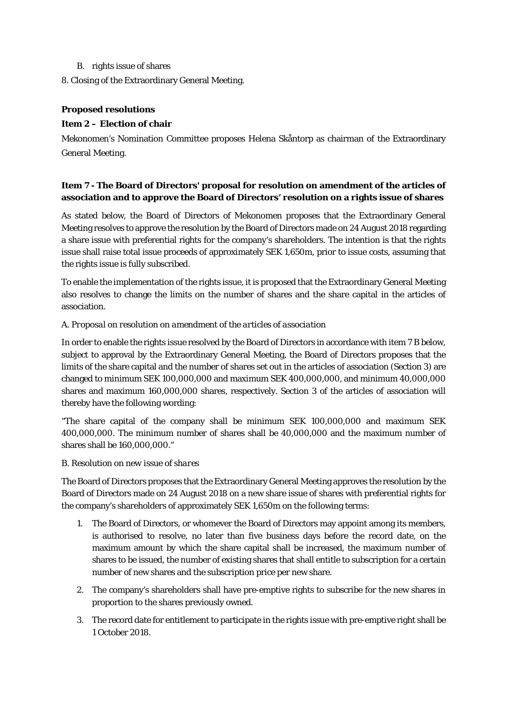- B. rights issue of shares
- 8. Closing of the Extraordinary General Meeting.

## **Proposed resolutions**

## **Item 2 – Election of chair**

Mekonomen's Nomination Committee proposes Helena Skåntorp as chairman of the Extraordinary General Meeting.

# **Item 7 - The Board of Directors' proposal for resolution on amendment of the articles of association and to approve the Board of Directors' resolution on a rights issue of shares**

As stated below, the Board of Directors of Mekonomen proposes that the Extraordinary General Meeting resolves to approve the resolution by the Board of Directors made on 24 August 2018 regarding a share issue with preferential rights for the company's shareholders. The intention is that the rights issue shall raise total issue proceeds of approximately SEK 1,650m, prior to issue costs, assuming that the rights issue is fully subscribed.

To enable the implementation of the rights issue, it is proposed that the Extraordinary General Meeting also resolves to change the limits on the number of shares and the share capital in the articles of association.

### *A. Proposal on resolution on amendment of the articles of association*

In order to enable the rights issue resolved by the Board of Directors in accordance with item 7 B below, subject to approval by the Extraordinary General Meeting, the Board of Directors proposes that the limits of the share capital and the number of shares set out in the articles of association (Section 3) are changed to minimum SEK 100,000,000 and maximum SEK 400,000,000, and minimum 40,000,000 shares and maximum 160,000,000 shares, respectively. Section 3 of the articles of association will thereby have the following wording:

"The share capital of the company shall be minimum SEK 100,000,000 and maximum SEK 400,000,000. The minimum number of shares shall be 40,000,000 and the maximum number of shares shall be 160,000,000."

### *B. Resolution on new issue of shares*

The Board of Directors proposes that the Extraordinary General Meeting approves the resolution by the Board of Directors made on 24 August 2018 on a new share issue of shares with preferential rights for the company's shareholders of approximately SEK 1,650m on the following terms:

- 1. The Board of Directors, or whomever the Board of Directors may appoint among its members, is authorised to resolve, no later than five business days before the record date, on the maximum amount by which the share capital shall be increased, the maximum number of shares to be issued, the number of existing shares that shall entitle to subscription for a certain number of new shares and the subscription price per new share.
- 2. The company's shareholders shall have pre-emptive rights to subscribe for the new shares in proportion to the shares previously owned.
- 3. The record date for entitlement to participate in the rights issue with pre-emptive right shall be 1 October 2018.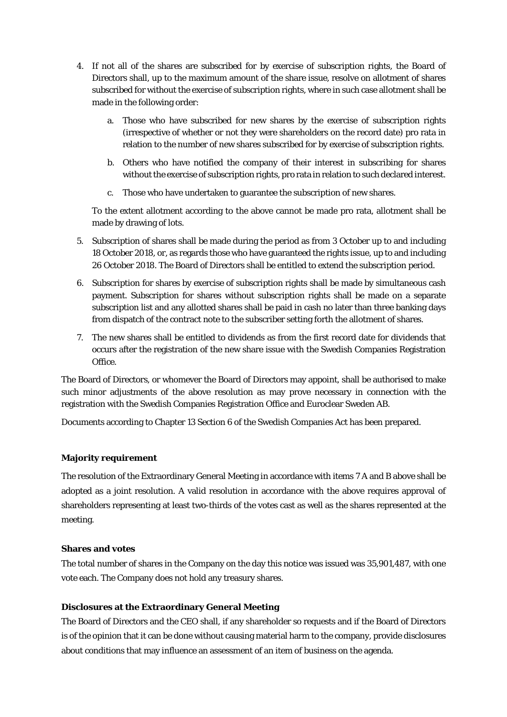- 4. If not all of the shares are subscribed for by exercise of subscription rights, the Board of Directors shall, up to the maximum amount of the share issue, resolve on allotment of shares subscribed for without the exercise of subscription rights, where in such case allotment shall be made in the following order:
	- a. Those who have subscribed for new shares by the exercise of subscription rights (irrespective of whether or not they were shareholders on the record date) pro rata in relation to the number of new shares subscribed for by exercise of subscription rights.
	- b. Others who have notified the company of their interest in subscribing for shares without the exercise of subscription rights, pro rata in relation to such declared interest.
	- c. Those who have undertaken to guarantee the subscription of new shares.

To the extent allotment according to the above cannot be made pro rata, allotment shall be made by drawing of lots.

- 5. Subscription of shares shall be made during the period as from 3 October up to and including 18 October 2018, or, as regards those who have guaranteed the rights issue, up to and including 26 October 2018. The Board of Directors shall be entitled to extend the subscription period.
- 6. Subscription for shares by exercise of subscription rights shall be made by simultaneous cash payment. Subscription for shares without subscription rights shall be made on a separate subscription list and any allotted shares shall be paid in cash no later than three banking days from dispatch of the contract note to the subscriber setting forth the allotment of shares.
- 7. The new shares shall be entitled to dividends as from the first record date for dividends that occurs after the registration of the new share issue with the Swedish Companies Registration Office.

The Board of Directors, or whomever the Board of Directors may appoint, shall be authorised to make such minor adjustments of the above resolution as may prove necessary in connection with the registration with the Swedish Companies Registration Office and Euroclear Sweden AB.

Documents according to Chapter 13 Section 6 of the Swedish Companies Act has been prepared.

### **Majority requirement**

The resolution of the Extraordinary General Meeting in accordance with items 7 A and B above shall be adopted as a joint resolution. A valid resolution in accordance with the above requires approval of shareholders representing at least two-thirds of the votes cast as well as the shares represented at the meeting.

### **Shares and votes**

The total number of shares in the Company on the day this notice was issued was 35,901,487, with one vote each. The Company does not hold any treasury shares.

### **Disclosures at the Extraordinary General Meeting**

The Board of Directors and the CEO shall, if any shareholder so requests and if the Board of Directors is of the opinion that it can be done without causing material harm to the company, provide disclosures about conditions that may influence an assessment of an item of business on the agenda.